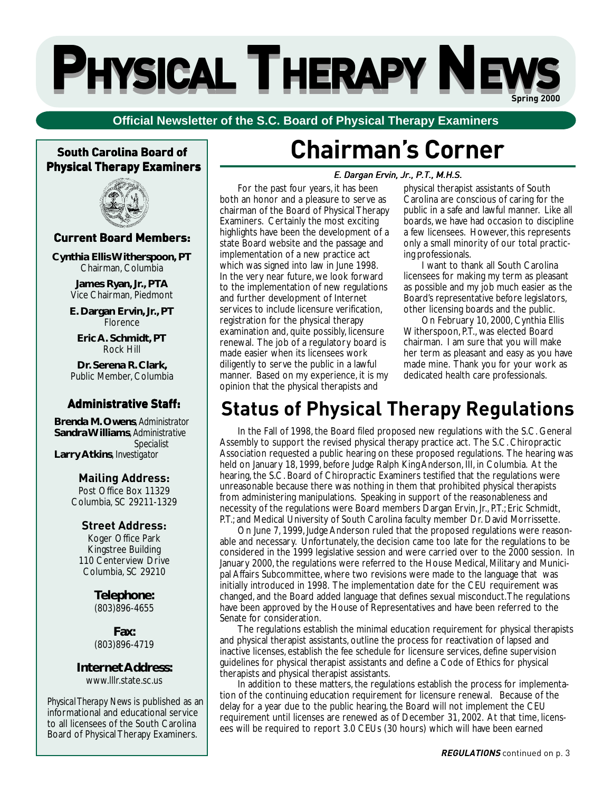# **PPHYSICAL HYSICAL HYSICAL HYSICAL HYSICAL HYSICAL T THERAPY HERAPY HERAPY HERAPY HERAPY HERAPY N NEWS EWS EWS EWS EWS Spring 2000**

### **Official Newsletter of the S.C. Board of Physical Therapy Examiners**

### **South Carolina Board of South Physical Therapy Examiners**



### **Current Board Members: Board Members:**

**Cynthia Ellis Witherspoon, PT** Chairman, Columbia

> **James Ryan, Jr., PTA** Vice Chairman, Piedmont

**E. Dargan Ervin, Jr., PT** Florence

**Eric A. Schmidt, PT** Rock Hill

**Dr. Serena R. Clark,** Public Member, Columbia

### **Administrative Staff:**

**Brenda M. Owens**, *Administrator* **Sandra Williams**, *Administrative Specialist* **Larry Atkins**, *Investigator*

### **Mailing Address:**

Post Office Box 11329 Columbia, SC 29211-1329

### **Street Address:**

Koger Office Park Kingstree Building 110 Centerview Drive Columbia, SC 29210

> **Telephone:** (803)896-4655

**Fax:** (803)896-4719

**Internet Address:** www.lllr.state.sc.us

*Physical Therapy News* is published as an informational and educational service to all licensees of the South Carolina Board of Physical Therapy Examiners.

# **Chairman's Corner**

### E. Dargan Ervin, Jr., P.T., M.H.S.

For the past four years, it has been both an honor and a pleasure to serve as chairman of the Board of Physical Therapy Examiners. Certainly the most exciting highlights have been the development of a state Board website and the passage and implementation of a new practice act which was signed into law in June 1998. In the very near future, we look forward to the implementation of new regulations and further development of Internet services to include licensure verification, registration for the physical therapy examination and, quite possibly, licensure renewal. The job of a regulatory board is made easier when its licensees work diligently to serve the public in a lawful manner. Based on my experience, it is my opinion that the physical therapists and

physical therapist assistants of South Carolina are conscious of caring for the public in a safe and lawful manner. Like all boards, we have had occasion to discipline a few licensees. However, this represents only a small minority of our total practicing professionals.

I want to thank all South Carolina licensees for making my term as pleasant as possible and my job much easier as the Board's representative before legislators, other licensing boards and the public.

On February 10, 2000, Cynthia Ellis Witherspoon, P.T., was elected Board chairman. I am sure that you will make her term as pleasant and easy as you have made mine. Thank you for your work as dedicated health care professionals.

## **Status of Physical Therapy Regulations**

In the Fall of 1998, the Board filed proposed new regulations with the S.C. General Assembly to support the revised physical therapy practice act. The S.C. Chiropractic Association requested a public hearing on these proposed regulations. The hearing was held on January 18, 1999, before Judge Ralph King Anderson, III, in Columbia. At the hearing, the S.C. Board of Chiropractic Examiners testified that the regulations were unreasonable because there was nothing in them that prohibited physical therapists from administering manipulations. Speaking in support of the reasonableness and necessity of the regulations were Board members Dargan Ervin, Jr., P.T.; Eric Schmidt, P.T.; and Medical University of South Carolina faculty member Dr. David Morrissette.

On June 7, 1999, Judge Anderson ruled that the proposed regulations were reasonable and necessary. Unfortunately, the decision came too late for the regulations to be considered in the 1999 legislative session and were carried over to the 2000 session. In January 2000, the regulations were referred to the House Medical, Military and Municipal Affairs Subcommittee, where two revisions were made to the language that was initially introduced in 1998. The implementation date for the CEU requirement was changed, and the Board added language that defines sexual misconduct. The regulations have been approved by the House of Representatives and have been referred to the Senate for consideration.

The regulations establish the minimal education requirement for physical therapists and physical therapist assistants, outline the process for reactivation of lapsed and inactive licenses, establish the fee schedule for licensure services, define supervision guidelines for physical therapist assistants and define a Code of Ethics for physical therapists and physical therapist assistants.

In addition to these matters, the regulations establish the process for implementation of the continuing education requirement for licensure renewal. Because of the delay for a year due to the public hearing, the Board will not implement the CEU requirement until licenses are renewed as of December 31, 2002. At that time, licensees will be required to report 3.0 CEUs (30 hours) which will have been earned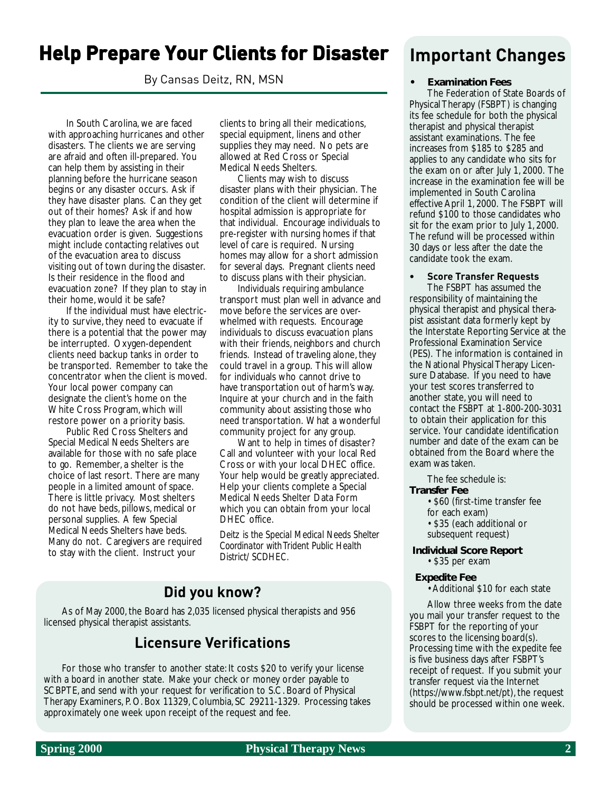## **Help Prepare Your Clients for Disaster Your Clients for Disaster**

By Cansas Deitz, RN, MSN

In South Carolina, we are faced with approaching hurricanes and other disasters. The clients we are serving are afraid and often ill-prepared. You can help them by assisting in their planning before the hurricane season begins or any disaster occurs. Ask if they have disaster plans. Can they get out of their homes? Ask if and how they plan to leave the area when the evacuation order is given. Suggestions might include contacting relatives out of the evacuation area to discuss visiting out of town during the disaster. Is their residence in the flood and evacuation zone? If they plan to stay in their home, would it be safe?

If the individual must have electricity to survive, they need to evacuate if there is a potential that the power may be interrupted. Oxygen-dependent clients need backup tanks in order to be transported. Remember to take the concentrator when the client is moved. Your local power company can designate the client's home on the White Cross Program, which will restore power on a priority basis.

Public Red Cross Shelters and Special Medical Needs Shelters are available for those with no safe place to go. Remember, a shelter is the choice of last resort. There are many people in a limited amount of space. There is little privacy. Most shelters do not have beds, pillows, medical or personal supplies. A few Special Medical Needs Shelters have beds. Many do not. Caregivers are required to stay with the client. Instruct your

clients to bring all their medications, special equipment, linens and other supplies they may need. No pets are allowed at Red Cross or Special Medical Needs Shelters.

Clients may wish to discuss disaster plans with their physician. The condition of the client will determine if hospital admission is appropriate for that individual. Encourage individuals to pre-register with nursing homes if that level of care is required. Nursing homes may allow for a short admission for several days. Pregnant clients need to discuss plans with their physician.

Individuals requiring ambulance transport must plan well in advance and move before the services are overwhelmed with requests. Encourage individuals to discuss evacuation plans with their friends, neighbors and church friends. Instead of traveling alone, they could travel in a group. This will allow for individuals who cannot drive to have transportation out of harm's way. Inquire at your church and in the faith community about assisting those who need transportation. What a wonderful community project for any group.

Want to help in times of disaster? Call and volunteer with your local Red Cross or with your local DHEC office. Your help would be greatly appreciated. Help your clients complete a Special Medical Needs Shelter Data Form which you can obtain from your local DHEC office.

*Deitz is the Special Medical Needs Shelter Coordinator with Trident Public Health District/ SCDHEC.*

### **Did you know?**

As of May 2000, the Board has 2,035 licensed physical therapists and 956 licensed physical therapist assistants.

### **Licensure Verifications**

For those who transfer to another state: It costs \$20 to verify your license with a board in another state. Make your check or money order payable to SCBPTE, and send with your request for verification to S.C. Board of Physical Therapy Examiners, P. O. Box 11329, Columbia, SC 29211-1329. Processing takes approximately one week upon receipt of the request and fee.

## **Important Changes**

### **• Examination Fees**

The Federation of State Boards of Physical Therapy (FSBPT) is changing its fee schedule for both the physical therapist and physical therapist assistant examinations. The fee increases from \$185 to \$285 and applies to any candidate who sits for the exam on or after July 1, 2000. The increase in the examination fee will be implemented in South Carolina effective April 1, 2000. The FSBPT will refund \$100 to those candidates who sit for the exam prior to July 1, 2000. The refund will be processed within 30 days or less after the date the candidate took the exam.

#### **• Score Transfer Requests**

The FSBPT has assumed the responsibility of maintaining the physical therapist and physical therapist assistant data formerly kept by the Interstate Reporting Service at the Professional Examination Service (PES). The information is contained in the National Physical Therapy Licensure Database. If you need to have your test scores transferred to another state, you will need to contact the FSBPT at 1-800-200-3031 to obtain their application for this service. Your candidate identification number and date of the exam can be obtained from the Board where the exam was taken.

The fee schedule is:

- **Transfer Fee**
	- \$60 (first-time transfer fee for each exam) • \$35 (each additional or

subsequent request)

**Individual Score Report** • \$35 per exam

#### **Expedite Fee**

• Additional \$10 for each state

Allow three weeks from the date you mail your transfer request to the FSBPT for the reporting of your scores to the licensing board(s). Processing time with the expedite fee is five business days after FSBPT's receipt of request. If you submit your transfer request via the Internet (https://www.fsbpt.net/pt), the request should be processed within one week.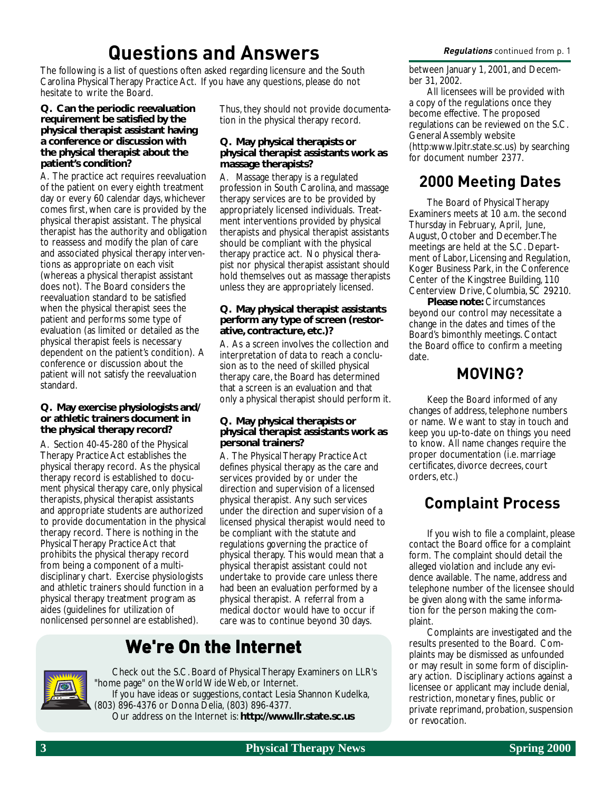## **Questions and Answers Regulations** continued from p. 1

The following is a list of questions often asked regarding licensure and the South Carolina Physical Therapy Practice Act. If you have any questions, please do not hesitate to write the Board.

### **Q. Can the periodic reevaluation requirement be satisfied by the physical therapist assistant having a conference or discussion with the physical therapist about the patient's condition?**

A. The practice act requires reevaluation of the patient on every eighth treatment day or every 60 calendar days, whichever comes first, when care is provided by the physical therapist assistant. The physical therapist has the authority and obligation to reassess and modify the plan of care and associated physical therapy interventions as appropriate on each visit (whereas a physical therapist assistant does not). The Board considers the reevaluation standard to be satisfied when the physical therapist sees the patient and performs some type of evaluation (as limited or detailed as the physical therapist feels is necessary dependent on the patient's condition). A conference or discussion about the patient will not satisfy the reevaluation standard.

### **Q. May exercise physiologists and/ or athletic trainers document in the physical therapy record?**

A. Section 40-45-280 of the Physical Therapy Practice Act establishes the physical therapy record. As the physical therapy record is established to document physical therapy care, only physical therapists, physical therapist assistants and appropriate students are authorized to provide documentation in the physical therapy record. There is nothing in the Physical Therapy Practice Act that prohibits the physical therapy record from being a component of a multidisciplinary chart. Exercise physiologists and athletic trainers should function in a physical therapy treatment program as aides (guidelines for utilization of nonlicensed personnel are established).

Thus, they should not provide documentation in the physical therapy record.

### **Q. May physical therapists or physical therapist assistants work as massage therapists?**

A. Massage therapy is a regulated profession in South Carolina, and massage therapy services are to be provided by appropriately licensed individuals. Treatment interventions provided by physical therapists and physical therapist assistants should be compliant with the physical therapy practice act. No physical therapist nor physical therapist assistant should hold themselves out as massage therapists unless they are appropriately licensed.

### **Q. May physical therapist assistants perform any type of screen (restorative, contracture, etc.)?**

A. As a screen involves the collection and interpretation of data to reach a conclusion as to the need of skilled physical therapy care, the Board has determined that a screen is an evaluation and that only a physical therapist should perform it.

### **Q. May physical therapists or physical therapist assistants work as personal trainers?**

A. The Physical Therapy Practice Act defines physical therapy as the care and services provided by or under the direction and supervision of a licensed physical therapist. Any such services under the direction and supervision of a licensed physical therapist would need to be compliant with the statute and regulations governing the practice of physical therapy. This would mean that a physical therapist assistant could not undertake to provide care unless there had been an evaluation performed by a physical therapist. A referral from a medical doctor would have to occur if care was to continue beyond 30 days.

## **We're On the Internet We're On the Internet**



Check out the S.C. Board of Physical Therapy Examiners on LLR's "home page" on the World Wide Web, or Internet. If you have ideas or suggestions, contact Lesia Shannon Kudelka, (803) 896-4376 or Donna Delia, (803) 896-4377. Our address on the Internet is: **http://www.llr.state.sc.us**

between January 1, 2001, and December 31, 2002.

All licensees will be provided with a copy of the regulations once they become effective. The proposed regulations can be reviewed on the S.C. General Assembly website (http:www.lpitr.state.sc.us) by searching for document number 2377.

## **2000 Meeting Dates**

The Board of Physical Therapy Examiners meets at 10 a.m. the second Thursday in February, April, June, August, October and December. The meetings are held at the S.C. Department of Labor, Licensing and Regulation, Koger Business Park, in the Conference Center of the Kingstree Building, 110 Centerview Drive, Columbia, SC 29210.

**Please note:** Circumstances beyond our control may necessitate a change in the dates and times of the Board's bimonthly meetings. Contact the Board office to confirm a meeting date.

## **MOVING?**

Keep the Board informed of any changes of address, telephone numbers or name. We want to stay in touch and keep you up-to-date on things you need to know. All name changes require the proper documentation (i.e. marriage certificates, divorce decrees, court orders, etc.)

## **Complaint Process**

If you wish to file a complaint, please contact the Board office for a complaint form. The complaint should detail the alleged violation and include any evidence available. The name, address and telephone number of the licensee should be given along with the same information for the person making the complaint.

Complaints are investigated and the results presented to the Board. Complaints may be dismissed as unfounded or may result in some form of disciplinary action. Disciplinary actions against a licensee or applicant may include denial, restriction, monetary fines, public or private reprimand, probation, suspension or revocation.